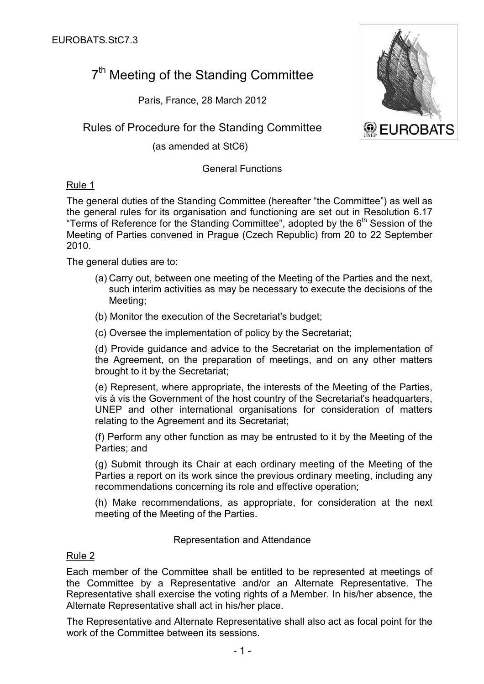# 7<sup>th</sup> Meeting of the Standing Committee

Paris, France, 28 March 2012

Rules of Procedure for the Standing Committee

(as amended at StC6)

# General Functions

Rule 1

The general duties of the Standing Committee (hereafter "the Committee") as well as the general rules for its organisation and functioning are set out in Resolution 6.17 "Terms of Reference for the Standing Committee", adopted by the  $6<sup>th</sup>$  Session of the Meeting of Parties convened in Prague (Czech Republic) from 20 to 22 September 2010.

The general duties are to:

- (a) Carry out, between one meeting of the Meeting of the Parties and the next, such interim activities as may be necessary to execute the decisions of the Meeting;
- (b) Monitor the execution of the Secretariat's budget;
- (c) Oversee the implementation of policy by the Secretariat;

(d) Provide guidance and advice to the Secretariat on the implementation of the Agreement, on the preparation of meetings, and on any other matters brought to it by the Secretariat;

(e) Represent, where appropriate, the interests of the Meeting of the Parties, vis à vis the Government of the host country of the Secretariat's headquarters, UNEP and other international organisations for consideration of matters relating to the Agreement and its Secretariat;

(f) Perform any other function as may be entrusted to it by the Meeting of the Parties; and

(g) Submit through its Chair at each ordinary meeting of the Meeting of the Parties a report on its work since the previous ordinary meeting, including any recommendations concerning its role and effective operation;

(h) Make recommendations, as appropriate, for consideration at the next meeting of the Meeting of the Parties.

#### Representation and Attendance

# Rule 2

Each member of the Committee shall be entitled to be represented at meetings of the Committee by a Representative and/or an Alternate Representative. The Representative shall exercise the voting rights of a Member. In his/her absence, the Alternate Representative shall act in his/her place.

The Representative and Alternate Representative shall also act as focal point for the work of the Committee between its sessions.

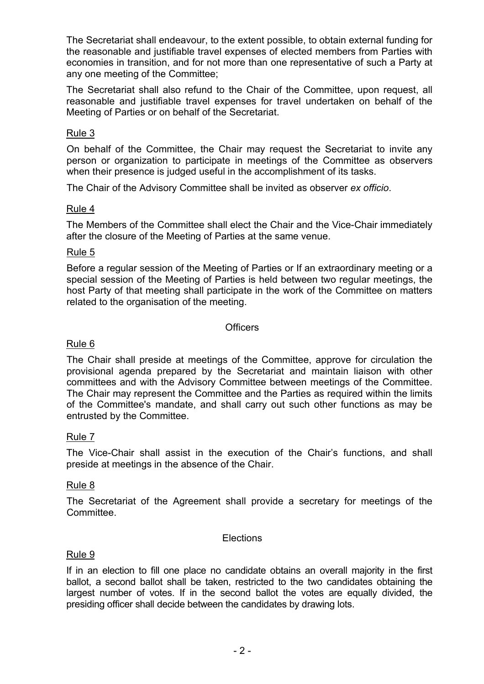The Secretariat shall endeavour, to the extent possible, to obtain external funding for the reasonable and justifiable travel expenses of elected members from Parties with economies in transition, and for not more than one representative of such a Party at any one meeting of the Committee;

The Secretariat shall also refund to the Chair of the Committee, upon request, all reasonable and justifiable travel expenses for travel undertaken on behalf of the Meeting of Parties or on behalf of the Secretariat.

## Rule 3

On behalf of the Committee, the Chair may request the Secretariat to invite any person or organization to participate in meetings of the Committee as observers when their presence is judged useful in the accomplishment of its tasks.

The Chair of the Advisory Committee shall be invited as observer *ex officio*.

## Rule 4

The Members of the Committee shall elect the Chair and the Vice-Chair immediately after the closure of the Meeting of Parties at the same venue.

#### Rule 5

Before a regular session of the Meeting of Parties or If an extraordinary meeting or a special session of the Meeting of Parties is held between two regular meetings, the host Party of that meeting shall participate in the work of the Committee on matters related to the organisation of the meeting.

#### **Officers**

## Rule 6

The Chair shall preside at meetings of the Committee, approve for circulation the provisional agenda prepared by the Secretariat and maintain liaison with other committees and with the Advisory Committee between meetings of the Committee. The Chair may represent the Committee and the Parties as required within the limits of the Committee's mandate, and shall carry out such other functions as may be entrusted by the Committee.

#### Rule 7

The Vice-Chair shall assist in the execution of the Chair's functions, and shall preside at meetings in the absence of the Chair.

#### Rule 8

The Secretariat of the Agreement shall provide a secretary for meetings of the Committee.

#### **Elections**

#### Rule 9

If in an election to fill one place no candidate obtains an overall majority in the first ballot, a second ballot shall be taken, restricted to the two candidates obtaining the largest number of votes. If in the second ballot the votes are equally divided, the presiding officer shall decide between the candidates by drawing lots.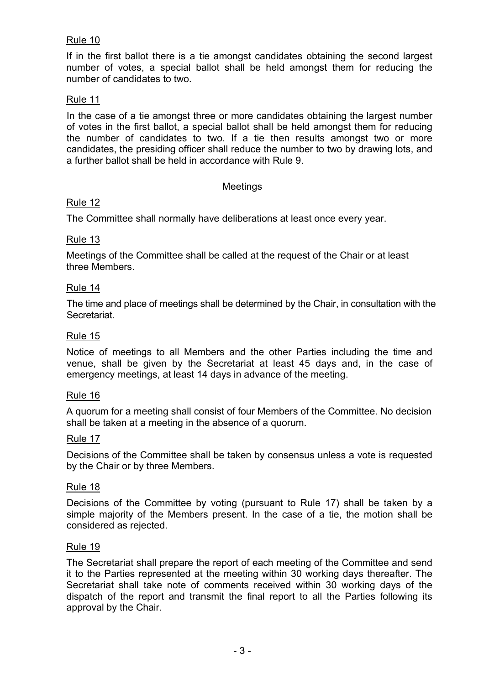# Rule 10

If in the first ballot there is a tie amongst candidates obtaining the second largest number of votes, a special ballot shall be held amongst them for reducing the number of candidates to two.

## Rule 11

In the case of a tie amongst three or more candidates obtaining the largest number of votes in the first ballot, a special ballot shall be held amongst them for reducing the number of candidates to two. If a tie then results amongst two or more candidates, the presiding officer shall reduce the number to two by drawing lots, and a further ballot shall be held in accordance with Rule 9.

#### Meetings

#### Rule 12

The Committee shall normally have deliberations at least once every year.

## Rule 13

Meetings of the Committee shall be called at the request of the Chair or at least three Members.

#### Rule 14

The time and place of meetings shall be determined by the Chair, in consultation with the Secretariat.

#### Rule 15

Notice of meetings to all Members and the other Parties including the time and venue, shall be given by the Secretariat at least 45 days and, in the case of emergency meetings, at least 14 days in advance of the meeting.

#### Rule 16

A quorum for a meeting shall consist of four Members of the Committee. No decision shall be taken at a meeting in the absence of a quorum.

#### Rule 17

Decisions of the Committee shall be taken by consensus unless a vote is requested by the Chair or by three Members.

#### Rule 18

Decisions of the Committee by voting (pursuant to Rule 17) shall be taken by a simple majority of the Members present. In the case of a tie, the motion shall be considered as rejected.

#### Rule 19

The Secretariat shall prepare the report of each meeting of the Committee and send it to the Parties represented at the meeting within 30 working days thereafter. The Secretariat shall take note of comments received within 30 working days of the dispatch of the report and transmit the final report to all the Parties following its approval by the Chair.